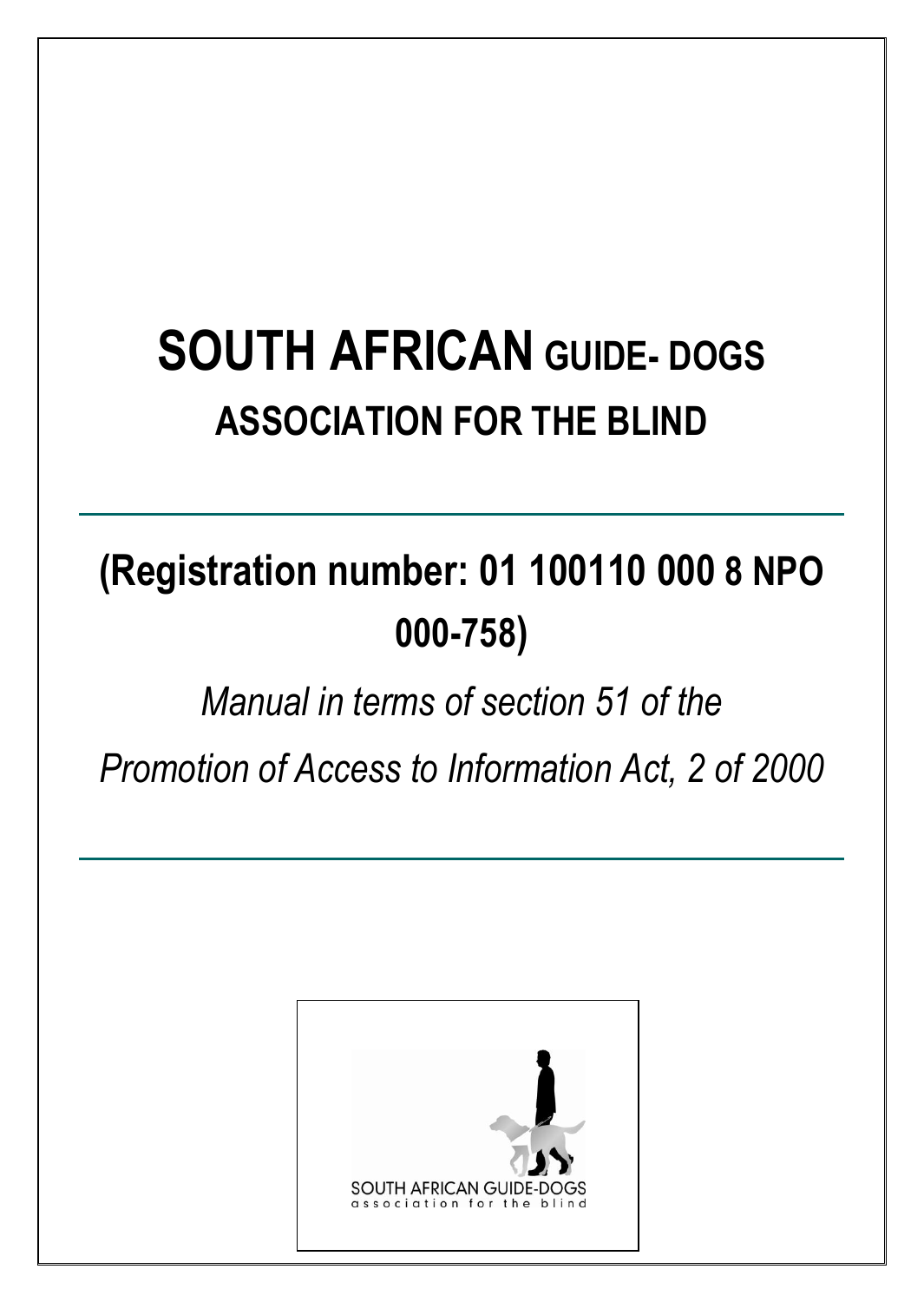# **SOUTH AFRICAN GUIDE- DOGS ASSOCIATION FOR THE BLIND**

# **(Registration number: 01 100110 000 8 NPO 000-758)**

*Manual in terms of section 51 of the* 

*Promotion of Access to Information Act, 2 of 2000*



**INSERT LOGO HERE**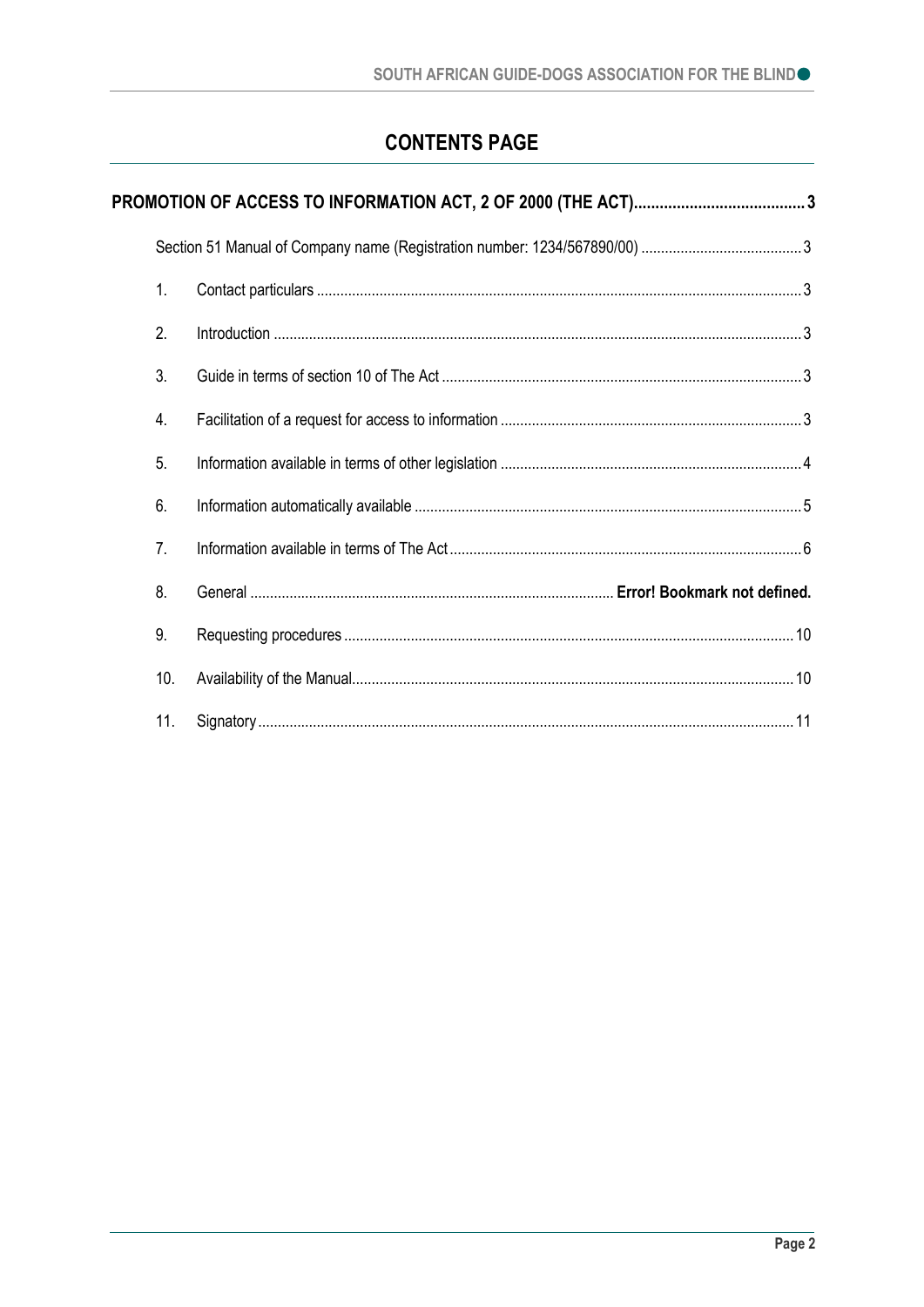# **CONTENTS PAGE**

| 1.               |  |
|------------------|--|
| 2.               |  |
| 3.               |  |
| $\overline{4}$ . |  |
| 5.               |  |
| 6.               |  |
| 7 <sub>1</sub>   |  |
| 8.               |  |
| 9.               |  |
| 10.              |  |
| 11.              |  |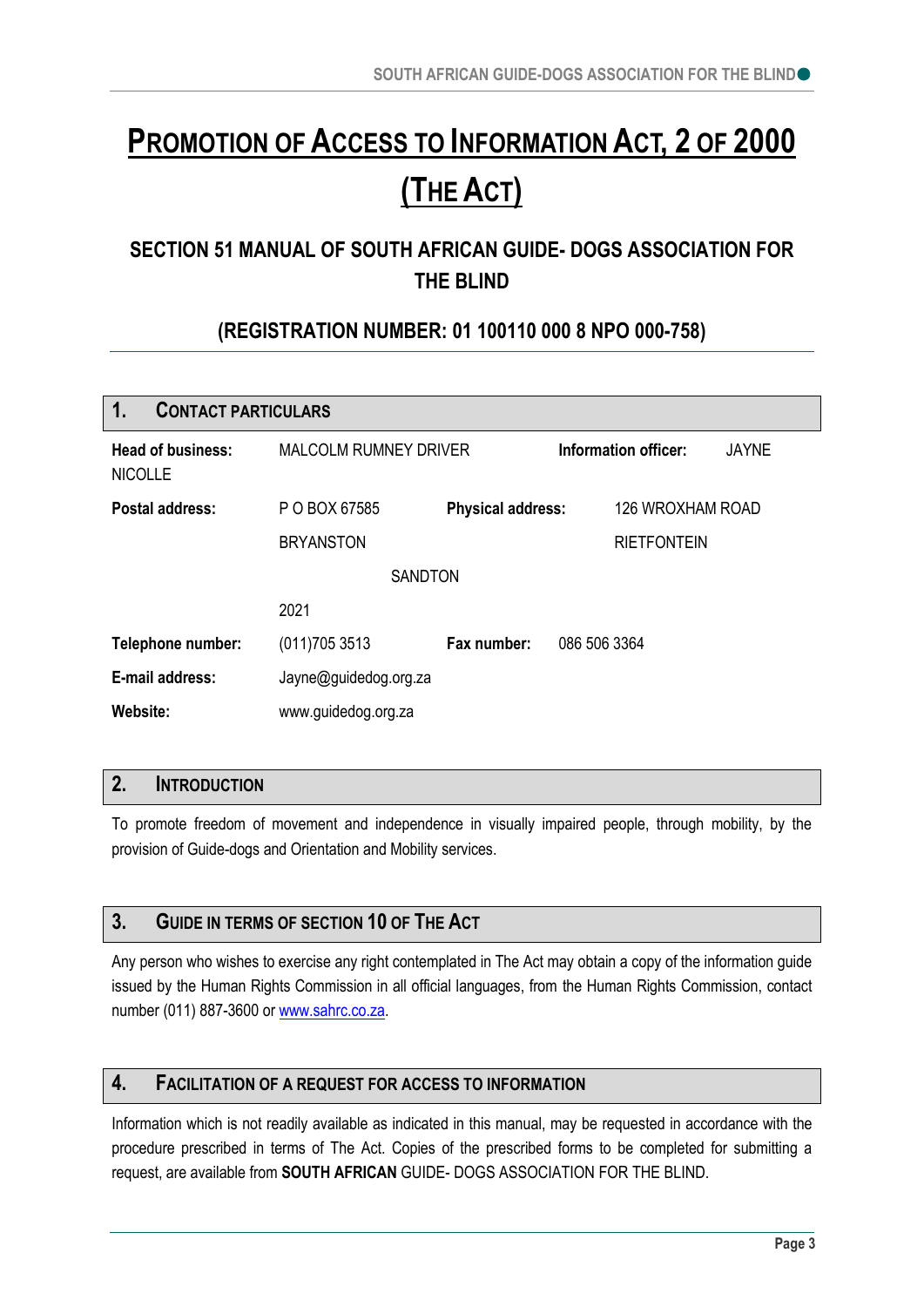# <span id="page-2-0"></span>**PROMOTION OF ACCESS TO INFORMATION ACT, 2 OF 2000 (THE ACT)**

# <span id="page-2-1"></span>**SECTION 51 MANUAL OF SOUTH AFRICAN GUIDE- DOGS ASSOCIATION FOR THE BLIND**

# **(REGISTRATION NUMBER: 01 100110 000 8 NPO 000-758)**

<span id="page-2-2"></span>

| 1.<br><b>CONTACT PARTICULARS</b>           |                              |                          |                      |                    |              |  |  |  |
|--------------------------------------------|------------------------------|--------------------------|----------------------|--------------------|--------------|--|--|--|
| <b>Head of business:</b><br><b>NICOLLE</b> | <b>MALCOLM RUMNEY DRIVER</b> |                          | Information officer: |                    | <b>JAYNE</b> |  |  |  |
| Postal address:                            | P O BOX 67585                | <b>Physical address:</b> |                      | 126 WROXHAM ROAD   |              |  |  |  |
|                                            | <b>BRYANSTON</b>             |                          |                      | <b>RIETFONTEIN</b> |              |  |  |  |
|                                            | <b>SANDTON</b>               |                          |                      |                    |              |  |  |  |
|                                            | 2021                         |                          |                      |                    |              |  |  |  |
| Telephone number:                          | (011)7053513                 | Fax number:              | 086 506 3364         |                    |              |  |  |  |
| E-mail address:                            | Jayne@guidedog.org.za        |                          |                      |                    |              |  |  |  |
| Website:                                   | www.guidedog.org.za          |                          |                      |                    |              |  |  |  |

# <span id="page-2-3"></span>**2. INTRODUCTION**

To promote freedom of movement and independence in visually impaired people, through mobility, by the provision of Guide-dogs and Orientation and Mobility services.

# <span id="page-2-4"></span>**3. GUIDE IN TERMS OF SECTION 10 OF THE ACT**

Any person who wishes to exercise any right contemplated in The Act may obtain a copy of the information guide issued by the Human Rights Commission in all official languages, from the Human Rights Commission, contact number (011) 887-3600 or [www.sahrc.co.za.](http://www.sahrc.co.za/)

# <span id="page-2-5"></span>**4. FACILITATION OF A REQUEST FOR ACCESS TO INFORMATION**

Information which is not readily available as indicated in this manual, may be requested in accordance with the procedure prescribed in terms of The Act. Copies of the prescribed forms to be completed for submitting a request, are available from **SOUTH AFRICAN** GUIDE- DOGS ASSOCIATION FOR THE BLIND.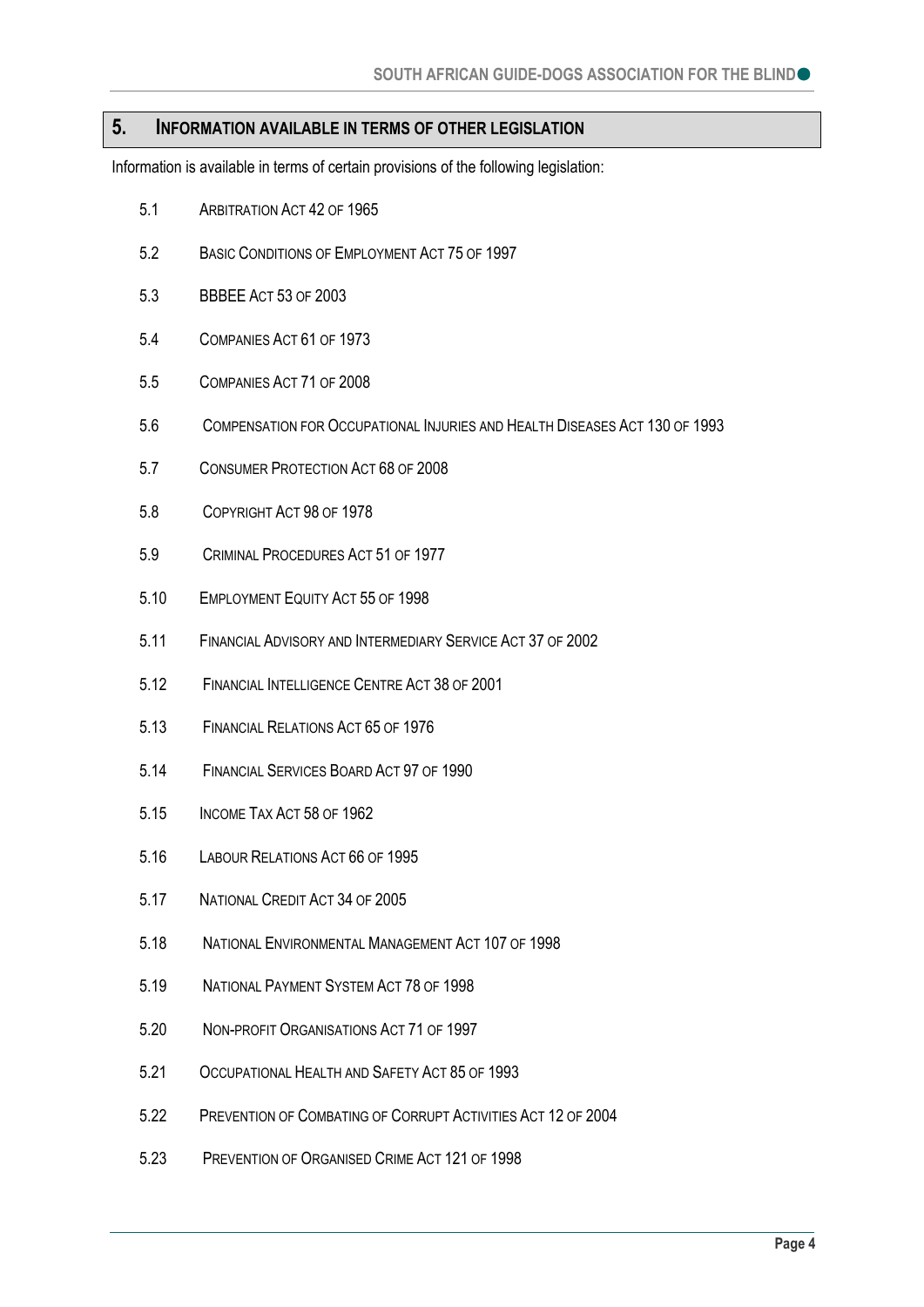#### <span id="page-3-0"></span>**5. INFORMATION AVAILABLE IN TERMS OF OTHER LEGISLATION**

Information is available in terms of certain provisions of the following legislation:

- 5.1 ARBITRATION ACT 42 OF 1965
- 5.2 BASIC CONDITIONS OF EMPLOYMENT ACT 75 OF 1997
- 5.3 BBBEE ACT 53 OF 2003
- 5.4 COMPANIES ACT 61 OF 1973
- 5.5 COMPANIES ACT 71 OF 2008
- 5.6 COMPENSATION FOR OCCUPATIONAL INJURIES AND HEALTH DISEASES ACT 130 OF 1993
- 5.7 CONSUMER PROTECTION ACT 68 OF 2008
- 5.8 COPYRIGHT ACT 98 OF 1978
- 5.9 CRIMINAL PROCEDURES ACT 51 OF 1977
- 5.10 EMPLOYMENT EQUITY ACT 55 OF 1998
- 5.11 FINANCIAL ADVISORY AND INTERMEDIARY SERVICE ACT 37 OF 2002
- 5.12 FINANCIAL INTELLIGENCE CENTRE ACT 38 OF 2001
- 5.13 FINANCIAL RELATIONS ACT 65 OF 1976
- 5.14 FINANCIAL SERVICES BOARD ACT 97 OF 1990
- 5.15 INCOME TAX ACT 58 OF 1962
- 5.16 LABOUR RELATIONS ACT 66 OF 1995
- 5.17 NATIONAL CREDIT ACT 34 OF 2005
- 5.18 NATIONAL ENVIRONMENTAL MANAGEMENT ACT 107 OF 1998
- 5.19 NATIONAL PAYMENT SYSTEM ACT 78 OF 1998
- 5.20 NON-PROFIT ORGANISATIONS ACT 71 OF 1997
- 5.21 OCCUPATIONAL HEALTH AND SAFETY ACT 85 OF 1993
- 5.22 PREVENTION OF COMBATING OF CORRUPT ACTIVITIES ACT 12 OF 2004
- 5.23 PREVENTION OF ORGANISED CRIME ACT 121 OF 1998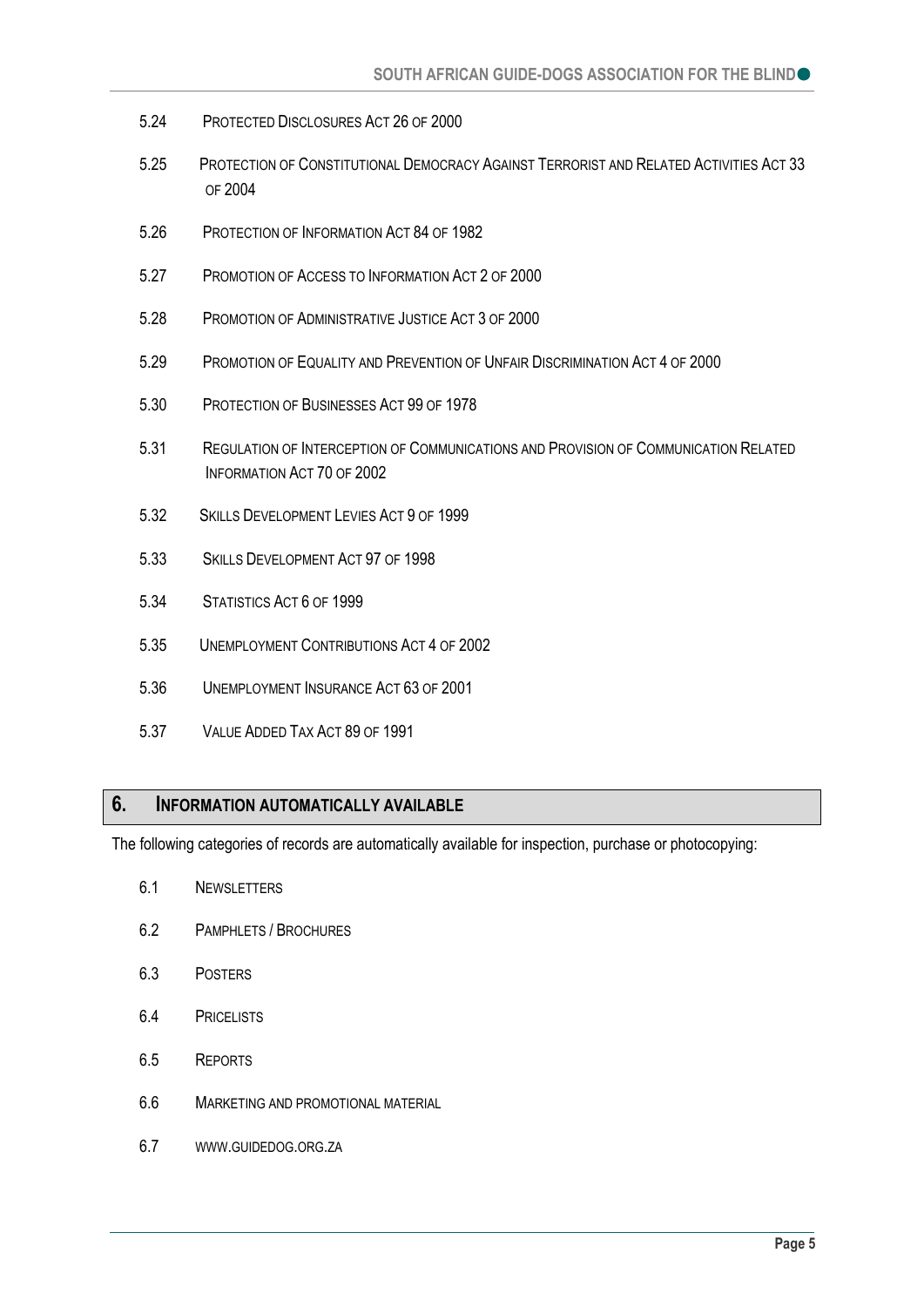- 5.24 PROTECTED DISCLOSURES ACT 26 OF 2000
- 5.25 PROTECTION OF CONSTITUTIONAL DEMOCRACY AGAINST TERRORIST AND RELATED ACTIVITIES ACT 33 OF 2004
- 5.26 PROTECTION OF INFORMATION ACT 84 OF 1982
- 5.27 PROMOTION OF ACCESS TO INFORMATION ACT 2 OF 2000
- 5.28 PROMOTION OF ADMINISTRATIVE JUSTICE ACT 3 OF 2000
- 5.29 PROMOTION OF EQUALITY AND PREVENTION OF UNFAIR DISCRIMINATION ACT 4 OF 2000
- 5.30 PROTECTION OF BUSINESSES ACT 99 OF 1978
- 5.31 REGULATION OF INTERCEPTION OF COMMUNICATIONS AND PROVISION OF COMMUNICATION RELATED INFORMATION ACT 70 OF 2002
- 5.32 SKILLS DEVELOPMENT LEVIES ACT 9 OF 1999
- 5.33 SKILLS DEVELOPMENT ACT 97 OF 1998
- 5.34 STATISTICS ACT 6 OF 1999
- 5.35 UNEMPLOYMENT CONTRIBUTIONS ACT 4 OF 2002
- 5.36 UNEMPLOYMENT INSURANCE ACT 63 OF 2001
- 5.37 VALUE ADDED TAX ACT 89 OF 1991

#### <span id="page-4-0"></span>**6. INFORMATION AUTOMATICALLY AVAILABLE**

The following categories of records are automatically available for inspection, purchase or photocopying:

- 6.1 NEWSLETTERS
- 6.2 PAMPHLETS / BROCHURES
- 6.3 POSTERS
- 6.4 PRICELISTS
- 6.5 REPORTS
- 6.6 MARKETING AND PROMOTIONAL MATERIAL
- 6.7 WWW.GUIDEDOG.ORG.ZA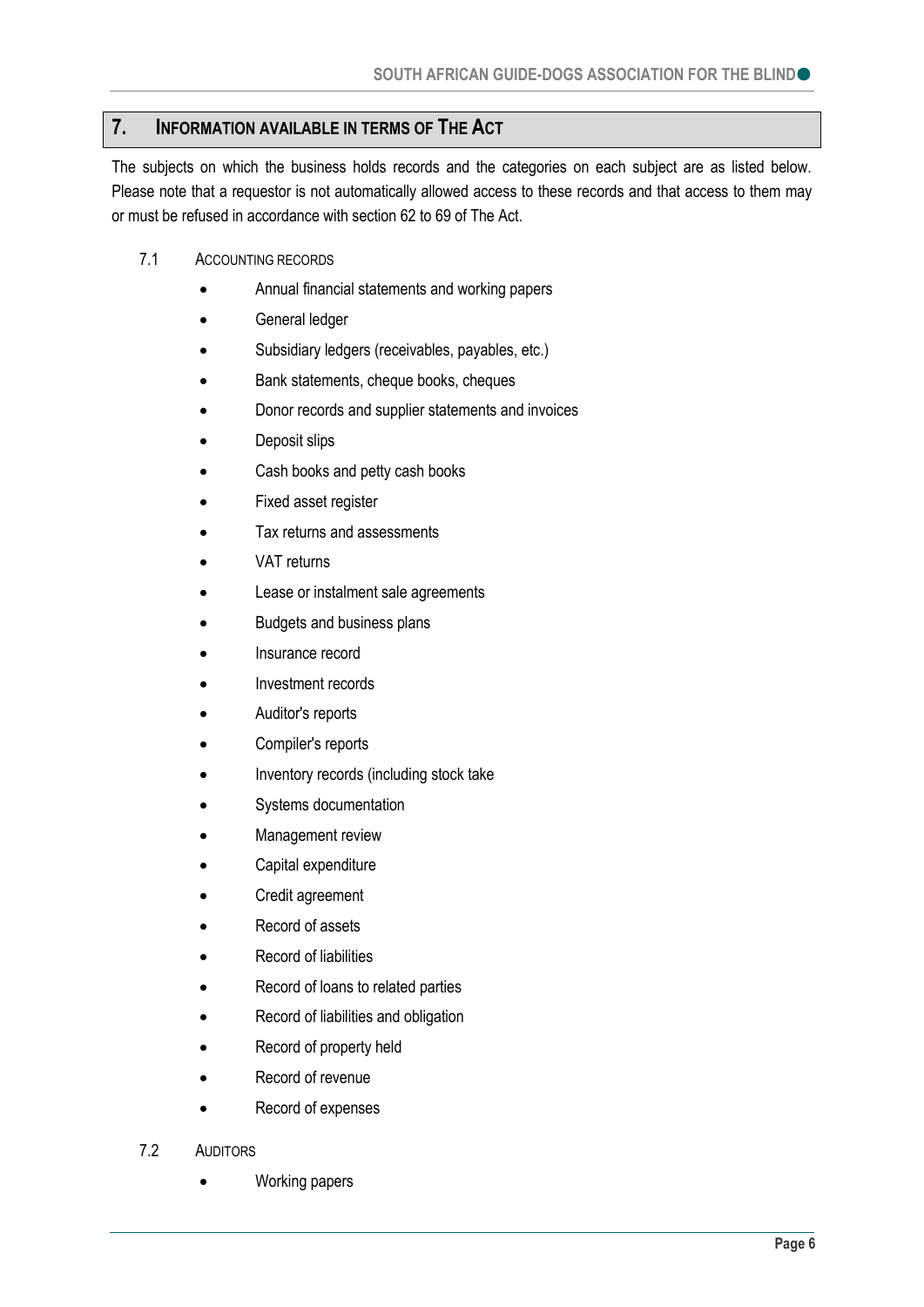# <span id="page-5-0"></span>**7. INFORMATION AVAILABLE IN TERMS OF THE ACT**

The subjects on which the business holds records and the categories on each subject are as listed below. Please note that a requestor is not automatically allowed access to these records and that access to them may or must be refused in accordance with section 62 to 69 of The Act.

- 7.1 ACCOUNTING RECORDS
	- Annual financial statements and working papers
	- **•** General ledger
	- Subsidiary ledgers (receivables, payables, etc.)
	- Bank statements, cheque books, cheques
	- Donor records and supplier statements and invoices
	- Deposit slips
	- Cash books and petty cash books
	- Fixed asset register
	- Tax returns and assessments
	- VAT returns
	- Lease or instalment sale agreements
	- Budgets and business plans
	- Insurance record
	- Investment records
	- Auditor's reports
	- Compiler's reports
	- Inventory records (including stock take
	- Systems documentation
	- Management review
	- Capital expenditure
	- Credit agreement
	- Record of assets
	- Record of liabilities
	- Record of loans to related parties
	- Record of liabilities and obligation
	- Record of property held
	- Record of revenue
	- Record of expenses
- 7.2 AUDITORS
	- Working papers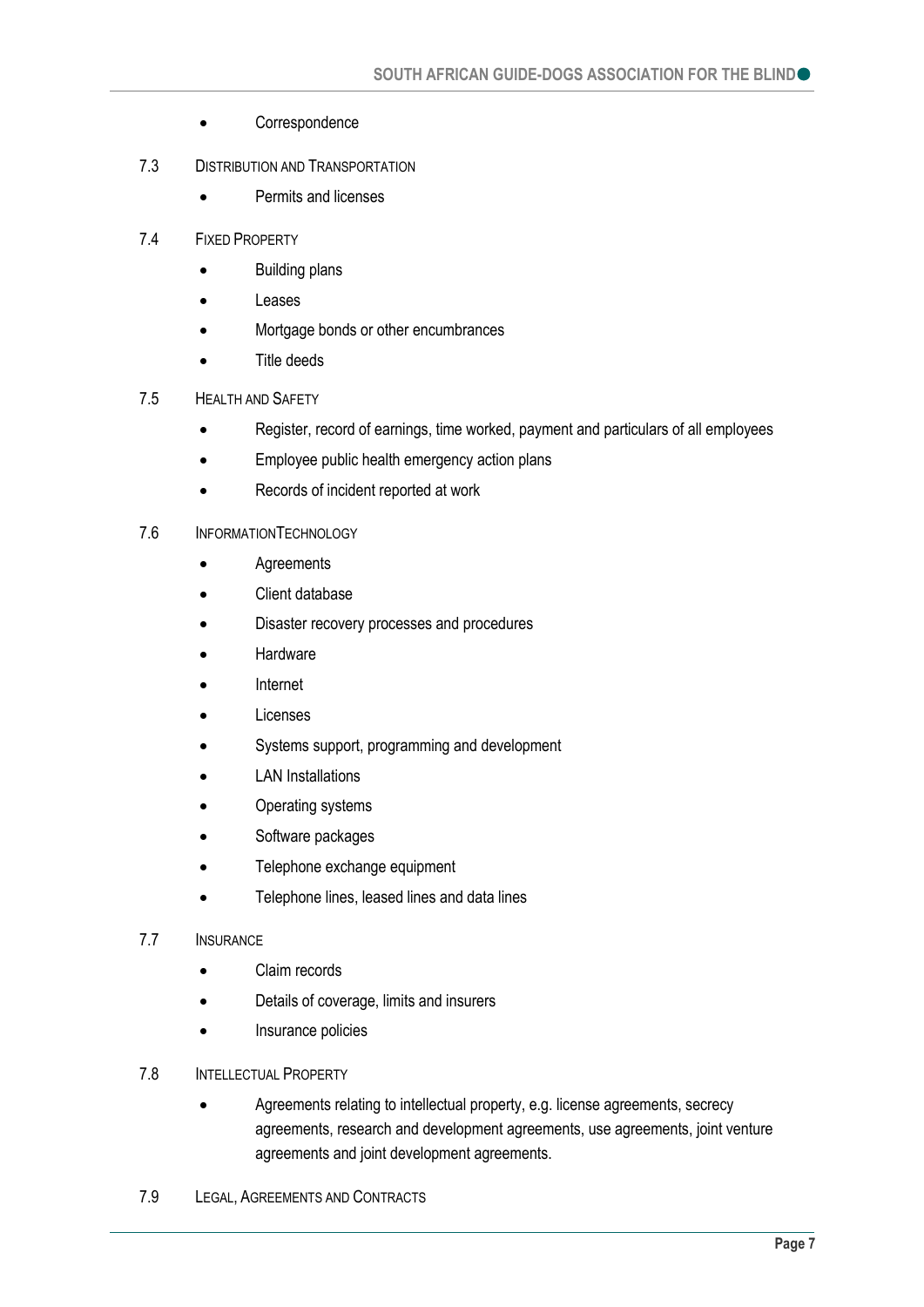- Correspondence
- 7.3 DISTRIBUTION AND TRANSPORTATION
	- Permits and licenses
- 7.4 FIXED PROPERTY
	- Building plans
	- Leases
	- Mortgage bonds or other encumbrances
	- Title deeds

#### 7.5 HEALTH AND SAFETY

- Register, record of earnings, time worked, payment and particulars of all employees
- Employee public health emergency action plans
- Records of incident reported at work

#### 7.6 INFORMATIONTECHNOLOGY

- Agreements
- Client database
- Disaster recovery processes and procedures
- Hardware
- Internet
- Licenses
- Systems support, programming and development
- LAN Installations
- Operating systems
- Software packages
- Telephone exchange equipment
- Telephone lines, leased lines and data lines

#### 7.7 INSURANCE

- Claim records
- Details of coverage, limits and insurers
- Insurance policies
- 7.8 INTELLECTUAL PROPERTY
	- Agreements relating to intellectual property, e.g. license agreements, secrecy agreements, research and development agreements, use agreements, joint venture agreements and joint development agreements.
- 7.9 LEGAL, AGREEMENTS AND CONTRACTS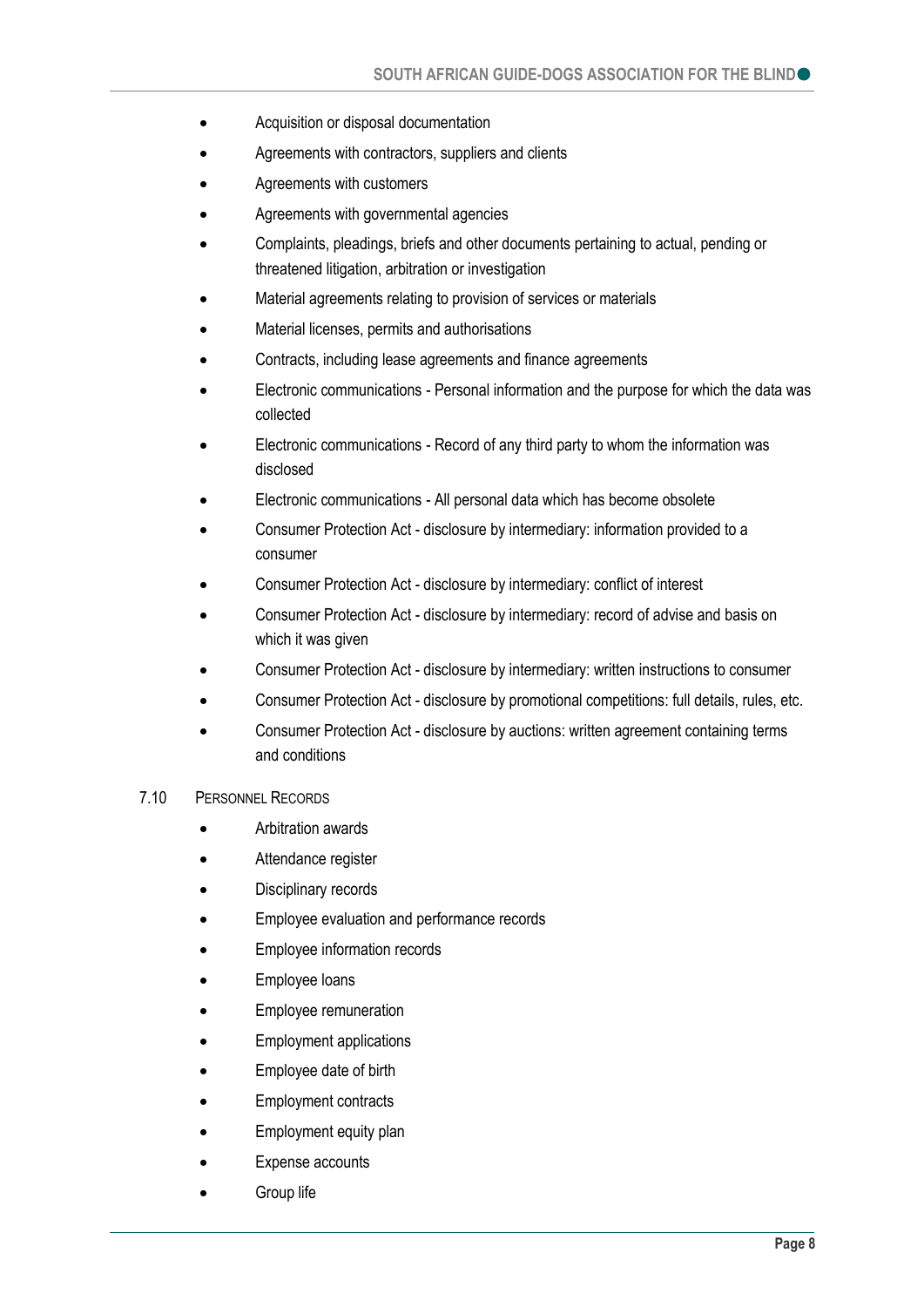- Acquisition or disposal documentation
- Agreements with contractors, suppliers and clients
- Agreements with customers
- Agreements with governmental agencies
- Complaints, pleadings, briefs and other documents pertaining to actual, pending or threatened litigation, arbitration or investigation
- Material agreements relating to provision of services or materials
- Material licenses, permits and authorisations
- Contracts, including lease agreements and finance agreements
- Electronic communications Personal information and the purpose for which the data was collected
- Electronic communications Record of any third party to whom the information was disclosed
- Electronic communications All personal data which has become obsolete
- Consumer Protection Act disclosure by intermediary: information provided to a consumer
- Consumer Protection Act disclosure by intermediary: conflict of interest
- Consumer Protection Act disclosure by intermediary: record of advise and basis on which it was given
- Consumer Protection Act disclosure by intermediary: written instructions to consumer
- Consumer Protection Act disclosure by promotional competitions: full details, rules, etc.
- Consumer Protection Act disclosure by auctions: written agreement containing terms and conditions

#### 7.10 PERSONNEL RECORDS

- Arbitration awards
- Attendance register
- Disciplinary records
- Employee evaluation and performance records
- Employee information records
- Employee loans
- Employee remuneration
- Employment applications
- Employee date of birth
- Employment contracts
- Employment equity plan
- Expense accounts
- Group life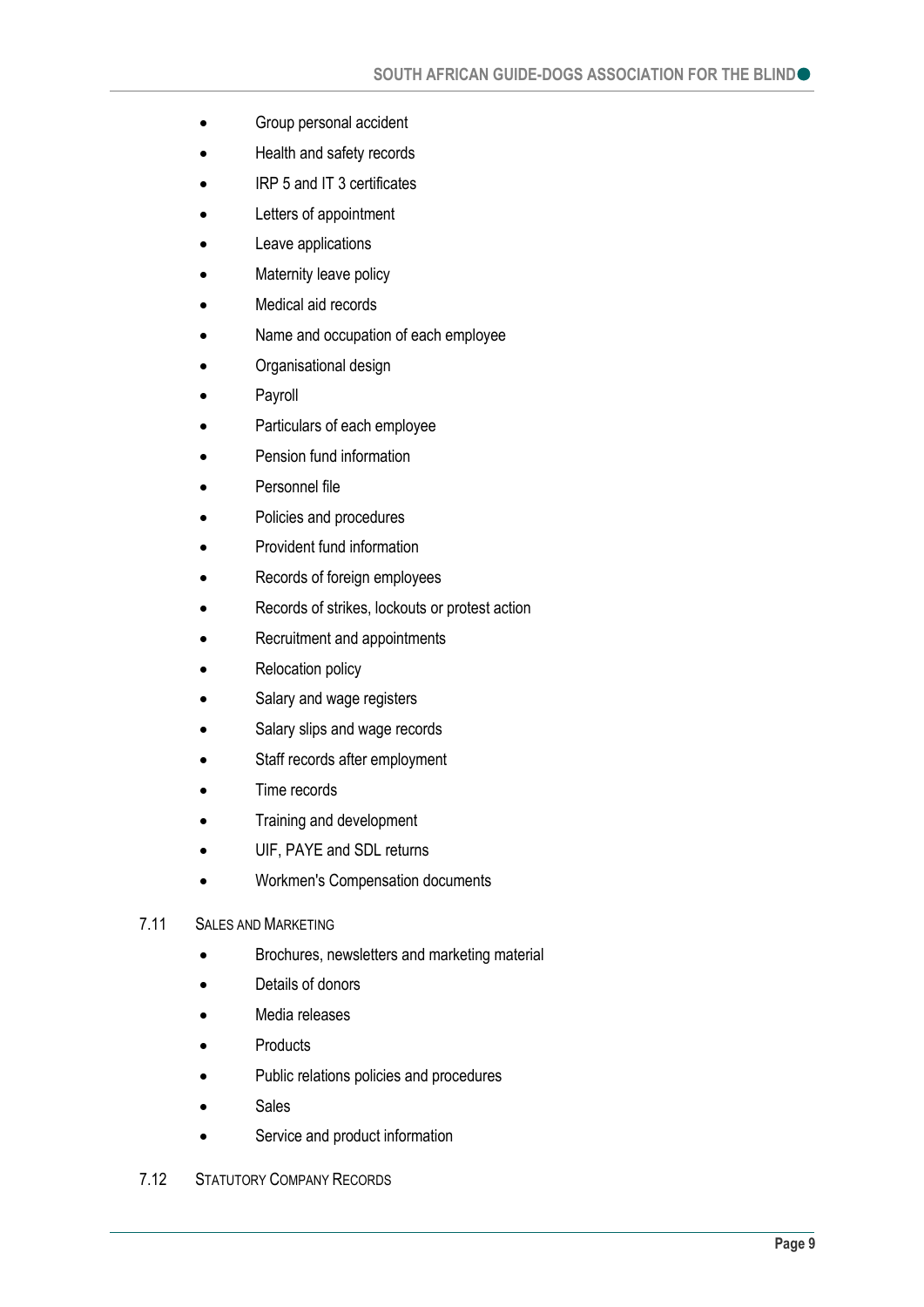- Group personal accident
- Health and safety records
- **IRP 5 and IT 3 certificates**
- Letters of appointment
- Leave applications
- Maternity leave policy
- Medical aid records
- Name and occupation of each employee
- Organisational design
- Payroll
- Particulars of each employee
- Pension fund information
- Personnel file
- Policies and procedures
- Provident fund information
- Records of foreign employees
- Records of strikes, lockouts or protest action
- Recruitment and appointments
- Relocation policy
- Salary and wage registers
- Salary slips and wage records
- Staff records after employment
- Time records
- Training and development
- UIF, PAYE and SDL returns
- Workmen's Compensation documents

#### 7.11 SALES AND MARKETING

- Brochures, newsletters and marketing material
- Details of donors
- Media releases
- **Products**
- Public relations policies and procedures
- Sales
- Service and product information
- 7.12 STATUTORY COMPANY RECORDS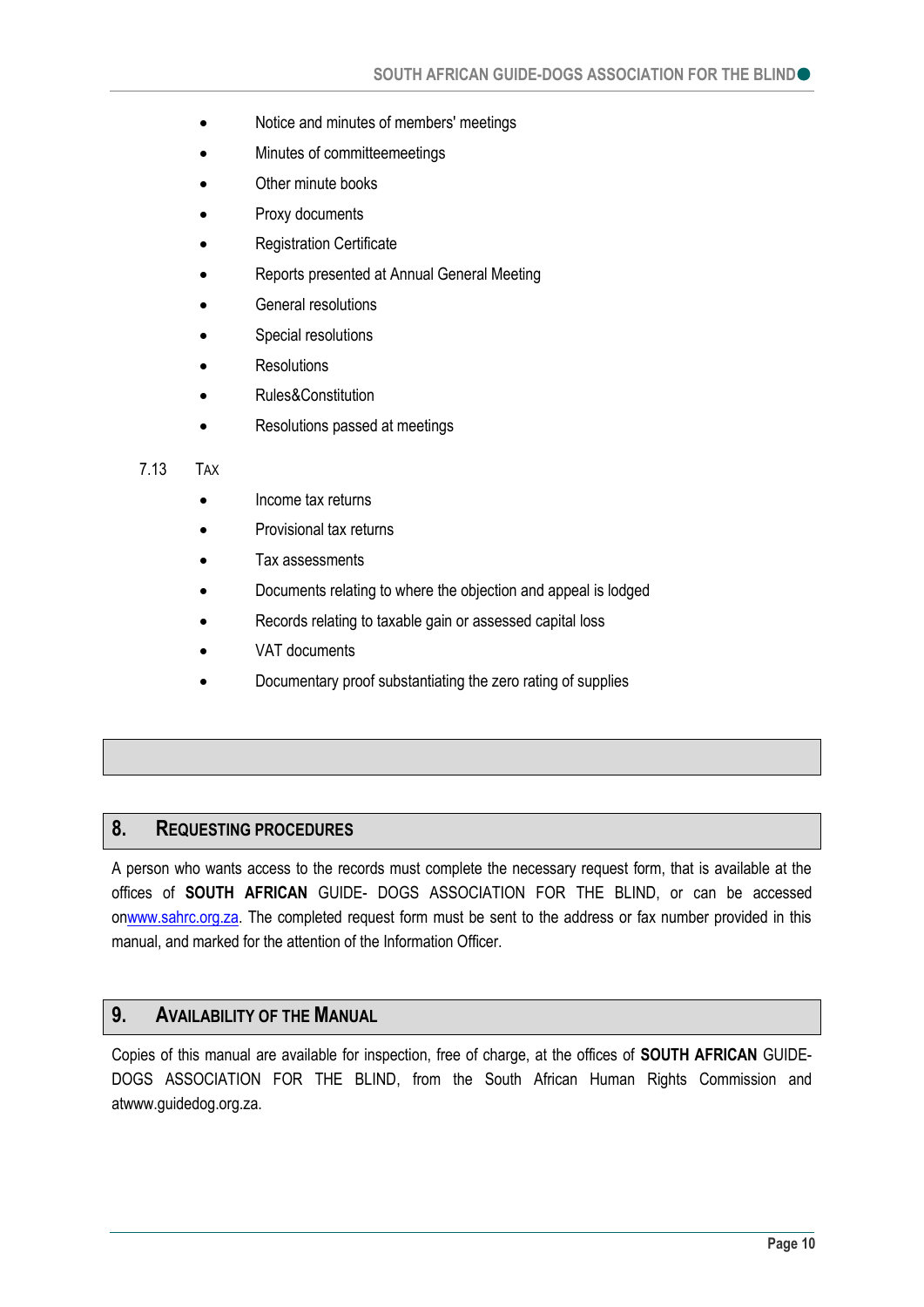- Notice and minutes of members' meetings
- Minutes of committeemeetings
- Other minute books
- Proxy documents
- Registration Certificate
- Reports presented at Annual General Meeting
- General resolutions
- Special resolutions
- **Resolutions**
- Rules&Constitution
- Resolutions passed at meetings

#### 7.13 TAX

- Income tax returns
- Provisional tax returns
- Tax assessments
- Documents relating to where the objection and appeal is lodged
- Records relating to taxable gain or assessed capital loss
- VAT documents
- Documentary proof substantiating the zero rating of supplies

### <span id="page-9-0"></span>**8. REQUESTING PROCEDURES**

A person who wants access to the records must complete the necessary request form, that is available at the offices of **SOUTH AFRICAN** GUIDE- DOGS ASSOCIATION FOR THE BLIND, or can be accessed onwww.sahrc.org.za. The completed request form must be sent to the address or fax number provided in this manual, and marked for the attention of the Information Officer.

### <span id="page-9-1"></span>**9. AVAILABILITY OF THE MANUAL**

Copies of this manual are available for inspection, free of charge, at the offices of **SOUTH AFRICAN** GUIDE-DOGS ASSOCIATION FOR THE BLIND, from the South African Human Rights Commission and atwww.guidedog.org.za.